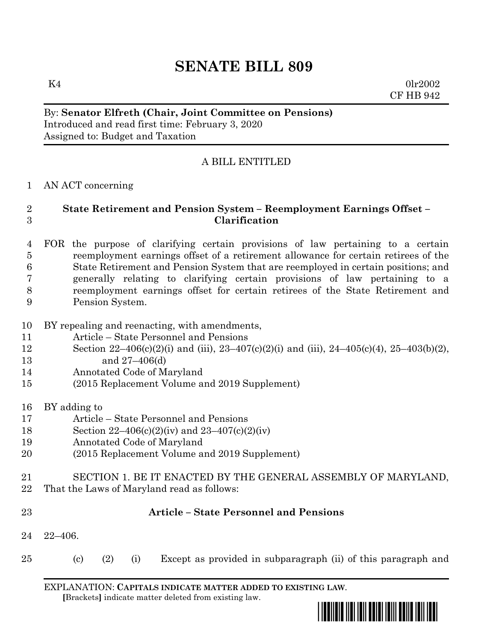# **SENATE BILL 809**

 $K4$  0lr2002 CF HB 942

## By: **Senator Elfreth (Chair, Joint Committee on Pensions)** Introduced and read first time: February 3, 2020 Assigned to: Budget and Taxation

## A BILL ENTITLED

### AN ACT concerning

## **State Retirement and Pension System – Reemployment Earnings Offset – Clarification**

 FOR the purpose of clarifying certain provisions of law pertaining to a certain reemployment earnings offset of a retirement allowance for certain retirees of the State Retirement and Pension System that are reemployed in certain positions; and generally relating to clarifying certain provisions of law pertaining to a reemployment earnings offset for certain retirees of the State Retirement and Pension System.

- BY repealing and reenacting, with amendments,
- Article State Personnel and Pensions
- Section 22–406(c)(2)(i) and (iii), 23–407(c)(2)(i) and (iii), 24–405(c)(4), 25–403(b)(2), and 27–406(d)
- Annotated Code of Maryland
- (2015 Replacement Volume and 2019 Supplement)
- BY adding to
- Article State Personnel and Pensions
- Section 22–406(c)(2)(iv) and 23–407(c)(2)(iv)
- Annotated Code of Maryland
- (2015 Replacement Volume and 2019 Supplement)
- SECTION 1. BE IT ENACTED BY THE GENERAL ASSEMBLY OF MARYLAND,
- That the Laws of Maryland read as follows:

| $23\,$ |                      |     |     | <b>Article – State Personnel and Pensions</b>                 |
|--------|----------------------|-----|-----|---------------------------------------------------------------|
|        | $24 \quad 22 - 406.$ |     |     |                                                               |
| $25\,$ | (c)                  | (2) | (i) | Except as provided in subparagraph (ii) of this paragraph and |

EXPLANATION: **CAPITALS INDICATE MATTER ADDED TO EXISTING LAW**.  **[**Brackets**]** indicate matter deleted from existing law.

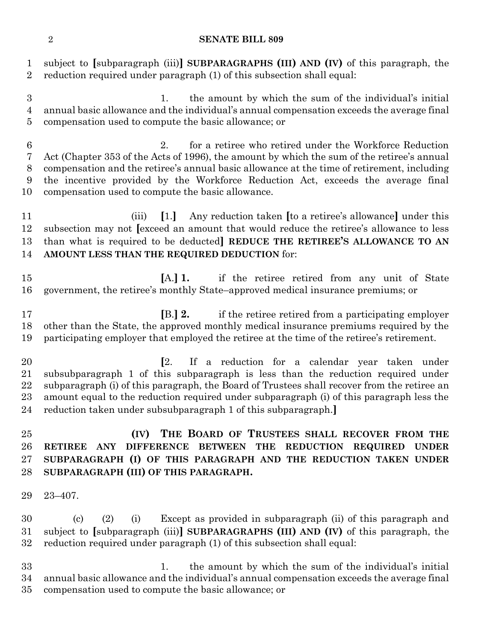#### **SENATE BILL 809**

 subject to **[**subparagraph (iii)**] SUBPARAGRAPHS (III) AND (IV)** of this paragraph, the reduction required under paragraph (1) of this subsection shall equal:

 1. the amount by which the sum of the individual's initial annual basic allowance and the individual's annual compensation exceeds the average final compensation used to compute the basic allowance; or

 2. for a retiree who retired under the Workforce Reduction Act (Chapter 353 of the Acts of 1996), the amount by which the sum of the retiree's annual compensation and the retiree's annual basic allowance at the time of retirement, including the incentive provided by the Workforce Reduction Act, exceeds the average final compensation used to compute the basic allowance.

 (iii) **[**1.**]** Any reduction taken **[**to a retiree's allowance**]** under this subsection may not **[**exceed an amount that would reduce the retiree's allowance to less than what is required to be deducted**] REDUCE THE RETIREE'S ALLOWANCE TO AN AMOUNT LESS THAN THE REQUIRED DEDUCTION** for:

 **[**A.**] 1.** if the retiree retired from any unit of State government, the retiree's monthly State–approved medical insurance premiums; or

 **[**B.**] 2.** if the retiree retired from a participating employer other than the State, the approved monthly medical insurance premiums required by the participating employer that employed the retiree at the time of the retiree's retirement.

 **[**2. If a reduction for a calendar year taken under subsubparagraph 1 of this subparagraph is less than the reduction required under subparagraph (i) of this paragraph, the Board of Trustees shall recover from the retiree an amount equal to the reduction required under subparagraph (i) of this paragraph less the reduction taken under subsubparagraph 1 of this subparagraph.**]**

 **(IV) THE BOARD OF TRUSTEES SHALL RECOVER FROM THE RETIREE ANY DIFFERENCE BETWEEN THE REDUCTION REQUIRED UNDER SUBPARAGRAPH (I) OF THIS PARAGRAPH AND THE REDUCTION TAKEN UNDER SUBPARAGRAPH (III) OF THIS PARAGRAPH.**

23–407.

 (c) (2) (i) Except as provided in subparagraph (ii) of this paragraph and subject to **[**subparagraph (iii)**] SUBPARAGRAPHS (III) AND (IV)** of this paragraph, the reduction required under paragraph (1) of this subsection shall equal:

 1. the amount by which the sum of the individual's initial annual basic allowance and the individual's annual compensation exceeds the average final compensation used to compute the basic allowance; or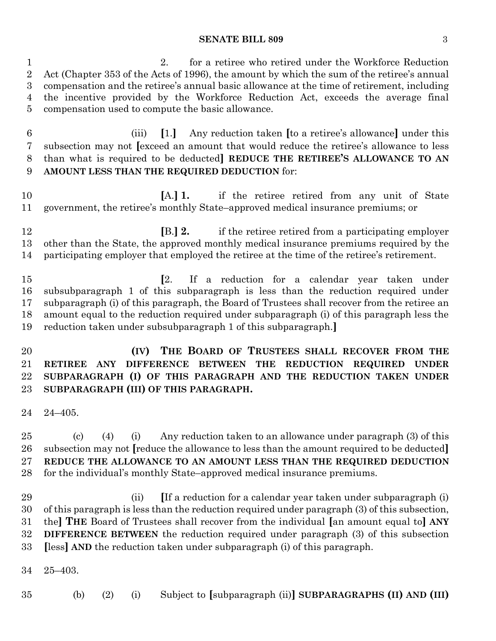#### **SENATE BILL 809** 3

 2. for a retiree who retired under the Workforce Reduction Act (Chapter 353 of the Acts of 1996), the amount by which the sum of the retiree's annual compensation and the retiree's annual basic allowance at the time of retirement, including the incentive provided by the Workforce Reduction Act, exceeds the average final compensation used to compute the basic allowance.

 (iii) **[**1.**]** Any reduction taken **[**to a retiree's allowance**]** under this subsection may not **[**exceed an amount that would reduce the retiree's allowance to less than what is required to be deducted**] REDUCE THE RETIREE'S ALLOWANCE TO AN AMOUNT LESS THAN THE REQUIRED DEDUCTION** for:

 **[**A.**] 1.** if the retiree retired from any unit of State government, the retiree's monthly State–approved medical insurance premiums; or

 **[**B.**] 2.** if the retiree retired from a participating employer other than the State, the approved monthly medical insurance premiums required by the participating employer that employed the retiree at the time of the retiree's retirement.

 **[**2. If a reduction for a calendar year taken under subsubparagraph 1 of this subparagraph is less than the reduction required under subparagraph (i) of this paragraph, the Board of Trustees shall recover from the retiree an amount equal to the reduction required under subparagraph (i) of this paragraph less the reduction taken under subsubparagraph 1 of this subparagraph.**]**

 **(IV) THE BOARD OF TRUSTEES SHALL RECOVER FROM THE RETIREE ANY DIFFERENCE BETWEEN THE REDUCTION REQUIRED UNDER SUBPARAGRAPH (I) OF THIS PARAGRAPH AND THE REDUCTION TAKEN UNDER SUBPARAGRAPH (III) OF THIS PARAGRAPH.**

24–405.

 (c) (4) (i) Any reduction taken to an allowance under paragraph (3) of this subsection may not **[**reduce the allowance to less than the amount required to be deducted**] REDUCE THE ALLOWANCE TO AN AMOUNT LESS THAN THE REQUIRED DEDUCTION** for the individual's monthly State–approved medical insurance premiums.

- (ii) **[**If a reduction for a calendar year taken under subparagraph (i) of this paragraph is less than the reduction required under paragraph (3) of this subsection, the**] THE** Board of Trustees shall recover from the individual **[**an amount equal to**] ANY DIFFERENCE BETWEEN** the reduction required under paragraph (3) of this subsection **[**less**] AND** the reduction taken under subparagraph (i) of this paragraph.
- 25–403.

(b) (2) (i) Subject to **[**subparagraph (ii)**] SUBPARAGRAPHS (II) AND (III)**